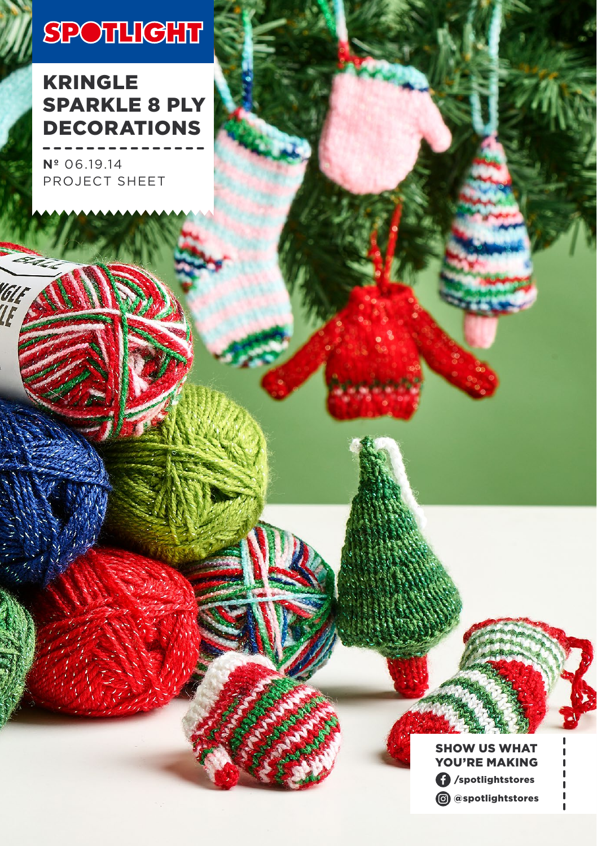# **SPOTHGHT**

# KRINGLE SPARKLE 8 PLY DECORATIONS

**Nº** 06.19.14 PROJECT SHEET

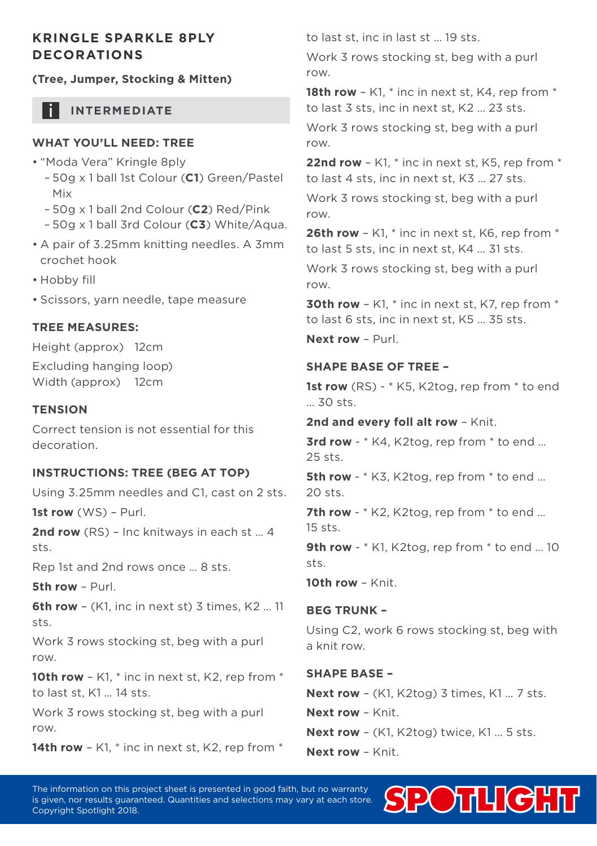### **KRINGLE SPARKLE 8PLY DECORATIONS**

**(Tree, Jumper, Stocking & Mitten)**

## **INTERMEDIATE**

#### **WHAT YOU'LL NEED: TREE**

- "Moda Vera" Kringle 8ply
	- 50g x 1 ball 1st Colour (**C1**) Green/Pastel Mix
	- 50g x 1 ball 2nd Colour (**C2**) Red/Pink
	- 50g x 1 ball 3rd Colour (**C3**) White/Aqua.
- A pair of 3.25mm knitting needles. A 3mm crochet hook
- Hobby fill
- Scissors, yarn needle, tape measure

# **TREE MEASURES:**

Height (approx) 12cm

Excluding hanging loop) Width (approx) 12cm

#### **TENSION**

Correct tension is not essential for this decoration.

#### **INSTRUCTIONS: TREE (BEG AT TOP)**

Using 3.25mm needles and C1, cast on 2 sts.

**1st row** (WS) – Purl.

2nd row (RS) - Inc knitways in each st ... 4 sts.

Rep 1st and 2nd rows once … 8 sts.

**5th row** – Purl.

**6th row** – (K1, inc in next st) 3 times, K2 … 11 sts.

Work 3 rows stocking st, beg with a purl row.

**10th row** – K1, \* inc in next st, K2, rep from \* to last st, K1 … 14 sts.

Work 3 rows stocking st, beg with a purl row.

14th row - K1, \* inc in next st, K2, rep from \*

to last st, inc in last st … 19 sts.

Work 3 rows stocking st, beg with a purl row.

**18th row** - K1, \* inc in next st, K4, rep from \* to last 3 sts, inc in next st, K2 … 23 sts. Work 3 rows stocking st, beg with a purl

row.

**22nd row** – K1, \* inc in next st, K5, rep from \* to last 4 sts, inc in next st, K3 … 27 sts.

Work 3 rows stocking st, beg with a purl row.

**26th row** – K1, \* inc in next st, K6, rep from \* to last 5 sts, inc in next st, K4 … 31 sts.

Work 3 rows stocking st, beg with a purl row.

**30th row** – K1, \* inc in next st, K7, rep from \* to last 6 sts, inc in next st, K5 … 35 sts.

**Next row** – Purl.

#### **SHAPE BASE OF TREE –**

**1st row** (RS) - \* K5, K2tog, rep from \* to end … 30 sts.

**2nd and every foll alt row** – Knit.

**3rd row** - \* K4, K2tog, rep from \* to end ... 25 sts.

**5th row** - \* K3, K2tog, rep from \* to end ... 20 sts.

7th row - \* K2. K2tog, rep from \* to end ... 15 sts.

**9th row** - \* K1, K2tog, rep from \* to end ... 10 sts.

**10th row** – Knit.

**BEG TRUNK –** Using C2, work 6 rows stocking st, beg with a knit row.

**SHAPE BASE – Next row** – (K1, K2tog) 3 times, K1 … 7 sts. **Next row** – Knit. **Next row** – (K1, K2tog) twice, K1 … 5 sts. **Next row** – Knit.

The information on this project sheet is presented in good faith, but no warranty is given, nor results guaranteed. Quantities and selections may vary at each store. Copyright Spotlight 2018.

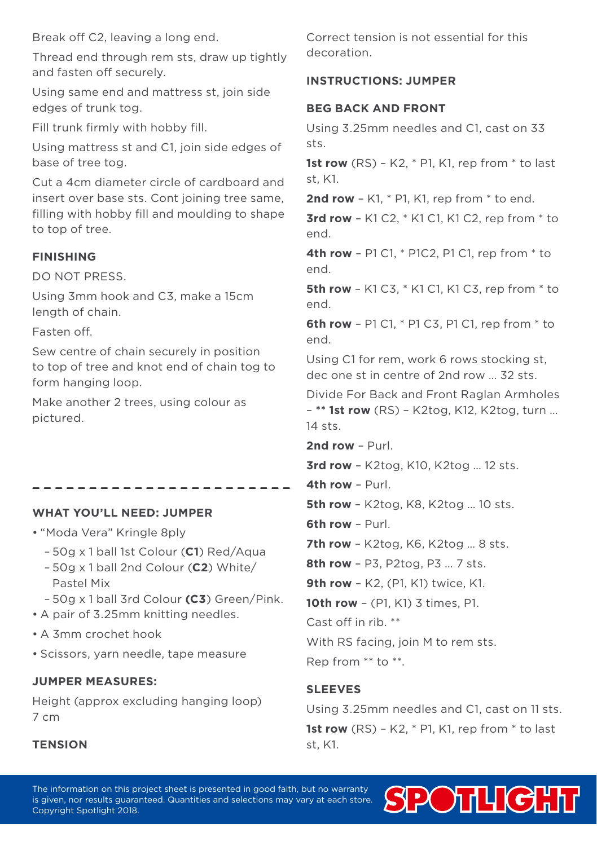Break off C2, leaving a long end.

Thread end through rem sts, draw up tightly and fasten off securely.

Using same end and mattress st, join side edges of trunk tog.

Fill trunk firmly with hobby fill.

Using mattress st and C1, join side edges of base of tree tog.

Cut a 4cm diameter circle of cardboard and insert over base sts. Cont joining tree same, filling with hobby fill and moulding to shape to top of tree.

#### **FINISHING**

DO NOT PRESS.

Using 3mm hook and C3, make a 15cm length of chain.

Fasten off.

Sew centre of chain securely in position to top of tree and knot end of chain tog to form hanging loop.

Make another 2 trees, using colour as pictured.

#### **WHAT YOU'LL NEED: JUMPER**

• "Moda Vera" Kringle 8ply

– 50g x 1 ball 1st Colour (**C1**) Red/Aqua

- 50g x 1 ball 2nd Colour (**C2**) White/ Pastel Mix
- 50g x 1 ball 3rd Colour **(C3**) Green/Pink.
- A pair of 3.25mm knitting needles.
- A 3mm crochet hook
- Scissors, yarn needle, tape measure

#### **JUMPER MEASURES:**

Height (approx excluding hanging loop) 7 cm

**TENSION**

Correct tension is not essential for this decoration.

#### **INSTRUCTIONS: JUMPER**

#### **BEG BACK AND FRONT**

Using 3.25mm needles and C1, cast on 33 sts.

**1st row** (RS) – K2, \* P1, K1, rep from \* to last st, K1.

2nd row - K1,  $*$  P1, K1, rep from  $*$  to end.

**3rd row** – K1 C2, \* K1 C1, K1 C2, rep from \* to end.

**4th row** – P1 C1, \* P1C2, P1 C1, rep from \* to end.

**5th row** – K1 C3, \* K1 C1, K1 C3, rep from \* to end.

**6th row** – P1 C1, \* P1 C3, P1 C1, rep from \* to end.

Using C1 for rem, work 6 rows stocking st, dec one st in centre of 2nd row … 32 sts.

Divide For Back and Front Raglan Armholes – **\*\* 1st row** (RS) – K2tog, K12, K2tog, turn … 14 sts.

**2nd row** – Purl.

**3rd row** – K2tog, K10, K2tog … 12 sts.

**4th row** – Purl.

**5th row** - K2tog, K8, K2tog ... 10 sts.

**6th row** – Purl.

**7th row** - K2tog, K6, K2tog ... 8 sts.

**8th row** – P3, P2tog, P3 … 7 sts.

**9th row** – K2, (P1, K1) twice, K1.

**10th row** - (P1, K1) 3 times, P1.

Cast off in rib. \*\*

With RS facing, join M to rem sts.

Rep from \*\* to \*\*.

#### **SLEEVES**

Using 3.25mm needles and C1, cast on 11 sts. **1st row** (RS) – K2, \* P1, K1, rep from \* to last st, K1.

The information on this project sheet is presented in good faith, but no warranty is given, nor results guaranteed. Quantities and selections may vary at each store. Copyright Spotlight 2018.

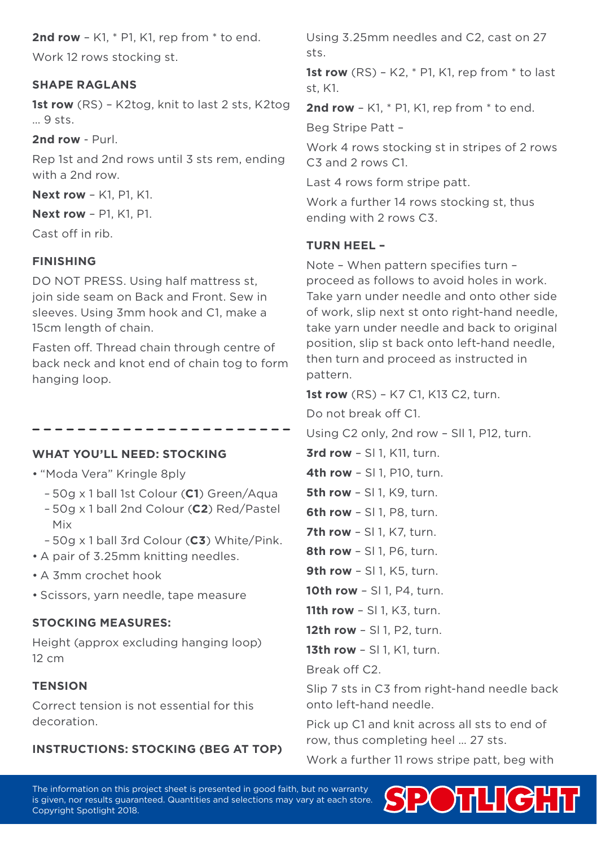2nd row - K1,  $*$  P1, K1, rep from  $*$  to end. Work 12 rows stocking st.

#### **SHAPE RAGLANS**

**1st row** (RS) – K2tog, knit to last 2 sts, K2tog  $.9$  sts.

#### **2nd row** - Purl.

Rep 1st and 2nd rows until 3 sts rem, ending with a 2nd row.

**Next row** – K1, P1, K1.

**Next row** – P1, K1, P1.

Cast off in rib.

#### **FINISHING**

DO NOT PRESS. Using half mattress st, join side seam on Back and Front. Sew in sleeves. Using 3mm hook and C1, make a 15cm length of chain.

Fasten off. Thread chain through centre of back neck and knot end of chain tog to form hanging loop.

#### **WHAT YOU'LL NEED: STOCKING**

• "Moda Vera" Kringle 8ply

----------

- 50g x 1 ball 1st Colour (**C1**) Green/Aqua
- 50g x 1 ball 2nd Colour (**C2**) Red/Pastel Mix
- 50g x 1 ball 3rd Colour (**C3**) White/Pink.
- A pair of 3.25mm knitting needles.
- A 3mm crochet hook
- Scissors, yarn needle, tape measure

#### **STOCKING MEASURES:**

Height (approx excluding hanging loop) 12 cm

#### **TENSION**

Correct tension is not essential for this decoration.

#### **INSTRUCTIONS: STOCKING (BEG AT TOP)**

Using 3.25mm needles and C2, cast on 27 sts.

**1st row** (RS) – K2, \* P1, K1, rep from \* to last st, K1.

2nd row - K1,  $*$  P1, K1, rep from  $*$  to end. Beg Stripe Patt –

Work 4 rows stocking st in stripes of 2 rows C3 and 2 rows C1.

Last 4 rows form stripe patt.

Work a further 14 rows stocking st, thus ending with 2 rows C3.

#### **TURN HEEL –**

Note – When pattern specifies turn – proceed as follows to avoid holes in work. Take yarn under needle and onto other side of work, slip next st onto right-hand needle, take yarn under needle and back to original position, slip st back onto left-hand needle, then turn and proceed as instructed in pattern.

#### **1st row** (RS) - K7 C1, K13 C2, turn.

Do not break off C1.

Using C2 only, 2nd row – Sll 1, P12, turn.

**3rd row** – Sl 1, K11, turn.

**4th row** – Sl 1, P10, turn.

- **5th row** SI 1, K9, turn.
- **6th row** Sl 1, P8, turn.
- **7th row** SI 1, K7, turn.

**8th row** – Sl 1, P6, turn.

**9th row** – Sl 1, K5, turn.

**10th row** – Sl 1, P4, turn.

**11th row** – Sl 1, K3, turn.

**12th row** – Sl 1, P2, turn.

**13th row** – Sl 1, K1, turn.

Break off C2.

Slip 7 sts in C3 from right-hand needle back onto left-hand needle.

Pick up C1 and knit across all sts to end of row, thus completing heel … 27 sts.

Work a further 11 rows stripe patt, beg with

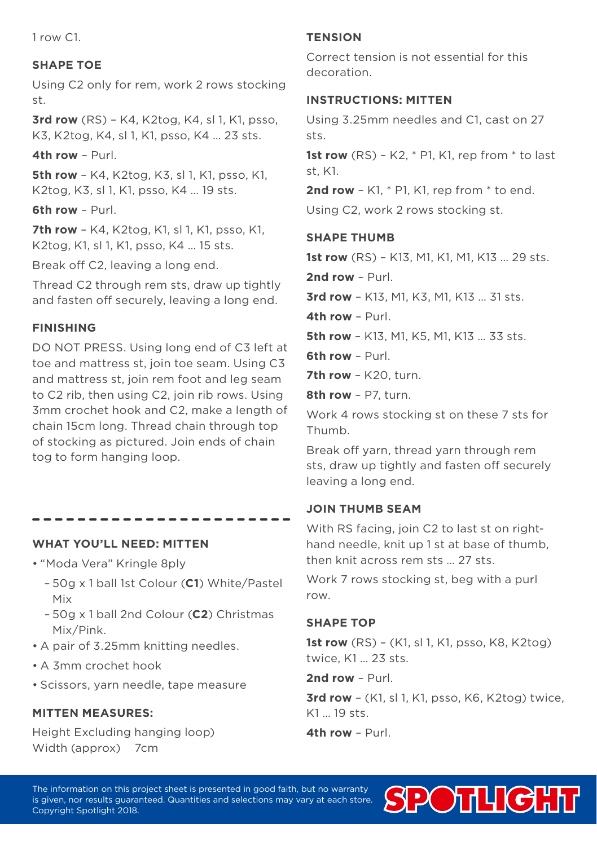1 row C1.

#### **SHAPE TOE**

Using C2 only for rem, work 2 rows stocking st.

**3rd row** (RS) – K4, K2tog, K4, sl 1, K1, psso, K3, K2tog, K4, sl 1, K1, psso, K4 … 23 sts. **4th row** – Purl.

**5th row** – K4, K2tog, K3, sl 1, K1, psso, K1,

K2tog, K3, sl 1, K1, psso, K4 … 19 sts.

**6th row** – Purl.

**7th row** – K4, K2tog, K1, sl 1, K1, psso, K1, K2tog, K1, sl 1, K1, psso, K4 … 15 sts.

Break off C2, leaving a long end.

Thread C2 through rem sts, draw up tightly and fasten off securely, leaving a long end.

#### **FINISHING**

DO NOT PRESS. Using long end of C3 left at toe and mattress st, join toe seam. Using C3 and mattress st, join rem foot and leg seam to C2 rib, then using C2, join rib rows. Using 3mm crochet hook and C2, make a length of chain 15cm long. Thread chain through top of stocking as pictured. Join ends of chain tog to form hanging loop.

#### **WHAT YOU'LL NEED: MITTEN**

- "Moda Vera" Kringle 8ply
	- 50g x 1 ball 1st Colour (**C1**) White/Pastel Mix
	- 50g x 1 ball 2nd Colour (**C2**) Christmas Mix/Pink.
- A pair of 3.25mm knitting needles.
- A 3mm crochet hook
- Scissors, yarn needle, tape measure

#### **MITTEN MEASURES:**

Height Excluding hanging loop) Width (approx) 7cm

#### **TENSION**

Correct tension is not essential for this decoration.

#### **INSTRUCTIONS: MITTEN**

Using 3.25mm needles and C1, cast on 27 sts.

**1st row** (RS) – K2, \* P1, K1, rep from \* to last st, K1.

**2nd row** – K1, \* P1, K1, rep from \* to end. Using C2, work 2 rows stocking st.

#### **SHAPE THUMB**

**1st row** (RS) – K13, M1, K1, M1, K13 … 29 sts. **2nd row** – Purl.

**3rd row** – K13, M1, K3, M1, K13 … 31 sts.

**4th row** – Purl.

**5th row** – K13, M1, K5, M1, K13 … 33 sts.

**6th row** – Purl.

**7th row - K20, turn.** 

**8th row** – P7, turn.

Work 4 rows stocking st on these 7 sts for Thumb.

Break off yarn, thread yarn through rem sts, draw up tightly and fasten off securely leaving a long end.

#### **JOIN THUMB SEAM**

With RS facing, join C2 to last st on righthand needle, knit up 1 st at base of thumb, then knit across rem sts … 27 sts.

Work 7 rows stocking st, beg with a purl row.

#### **SHAPE TOP**

**1st row** (RS) – (K1, sl 1, K1, psso, K8, K2tog) twice, K1 … 23 sts.

**2nd row** – Purl.

**3rd row** – (K1, sl 1, K1, psso, K6, K2tog) twice, K1 … 19 sts.

**4th row** – Purl.